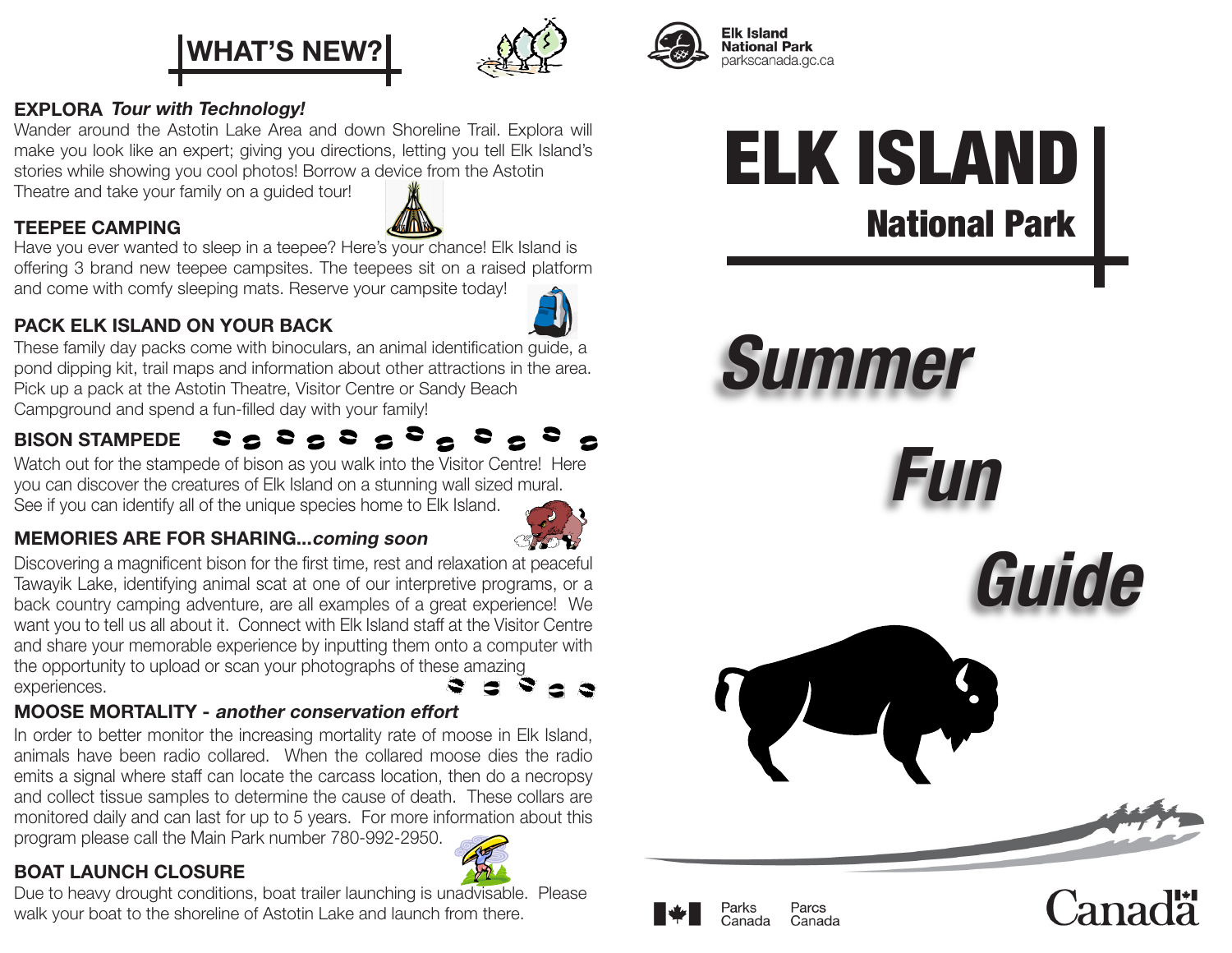



#### **Elk Island National Park** parkscanada.gc.ca

Parks

Canada

Parcs

Canada

#### EXPLORA Tour with Technology!

TEEPEE CAMPING

Wander around the Astotin Lake Area and down Shoreline Trail. Explora will make you look like an expert; giving you directions, letting you tell Elk Island's stories while showing you cool photos! Borrow a device from the Astotin

Theatre and take your family on a guided tour!

Have you ever wanted to sleep in a teepee? Here's your chance! Elk Island is offering 3 brand new teepee campsites. The teepees sit on a raised platform and come with comfy sleeping mats. Reserve your campsite today!

#### PACK ELK ISLAND ON YOUR BACK



These family day packs come with binoculars, an animal identification guide, a pond dipping kit, trail maps and information about other attractions in the area. Pick up a pack at the Astotin Theatre, Visitor Centre or Sandy Beach Campground and spend a fun-filled day with your family!

#### 2 2 2 2 2 2 2 2 2 2 2 2 2 BISON STAMPEDE

Watch out for the stampede of bison as you walk into the Visitor Centre! Here you can discover the creatures of Elk Island on a stunning wall sized mural. See if you can identify all of the unique species home to Elk Island.



#### MEMORIES ARE FOR SHARING...coming soon

Discovering a magnificent bison for the first time, rest and relaxation at peaceful Tawayik Lake, identifying animal scat at one of our interpretive programs, or a back country camping adventure, are all examples of a great experience! We want you to tell us all about it. Connect with Elk Island staff at the Visitor Centre and share your memorable experience by inputting them onto a computer with the opportunity to upload or scan your photographs of these amazing experiences.

#### MOOSE MORTALITY - another conservation effort

In order to better monitor the increasing mortality rate of moose in Elk Island, animals have been radio collared. When the collared moose dies the radio emits a signal where staff can locate the carcass location, then do a necropsy and collect tissue samples to determine the cause of death. These collars are monitored daily and can last for up to 5 years. For more information about this program please call the Main Park number 780-992-2950.

#### BOAT LAUNCH CLOSURE



# ELK ISLAND National Park

**Summer**

**Fun**